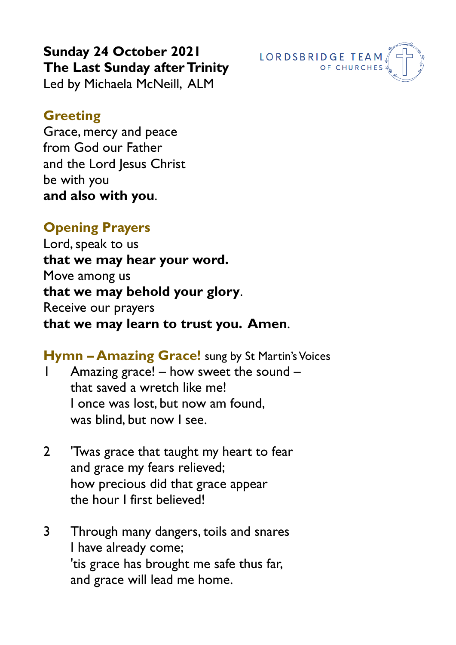**Sunday 24 October 2021 The Last Sunday after Trinity** Led by Michaela McNeill, ALM

#### **Greeting**

Grace, mercy and peace from God our Father and the Lord Jesus Christ be with you **and also with you**.

### **Opening Prayers**

Lord, speak to us **that we may hear your word.** Move among us **that we may behold your glory**. Receive our prayers **that we may learn to trust you. Amen**.

**Hymn – Amazing Grace!** sung by St Martin's Voices Amazing grace! – how sweet the sound – that saved a wretch like me! I once was lost, but now am found, was blind, but now I see.

- 2 'Twas grace that taught my heart to fear and grace my fears relieved; how precious did that grace appear the hour I first believed!
- 3 Through many dangers, toils and snares I have already come; 'tis grace has brought me safe thus far, and grace will lead me home.

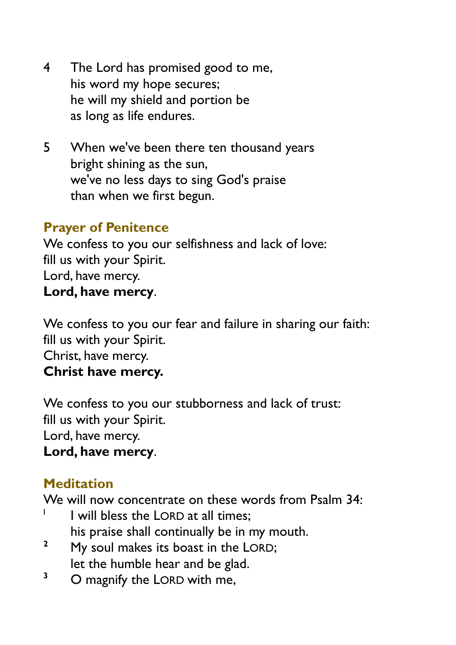- 4 The Lord has promised good to me, his word my hope secures; he will my shield and portion be as long as life endures.
- 5 When we've been there ten thousand years bright shining as the sun, we've no less days to sing God's praise than when we first begun.

#### **Prayer of Penitence**

We confess to you our selfishness and lack of love: fill us with your Spirit. Lord, have mercy. **Lord, have mercy**.

We confess to you our fear and failure in sharing our faith: fill us with your Spirit. Christ, have mercy. **Christ have mercy.**

We confess to you our stubborness and lack of trust: fill us with your Spirit. Lord, have mercy. **Lord, have mercy**.

## **Meditation**

We will now concentrate on these words from Psalm 34:

- I I will bless the LORD at all times; his praise shall continually be in my mouth.
- **<sup>2</sup>** My soul makes its boast in the LORD; let the humble hear and be glad.
- <sup>3</sup> O magnify the LORD with me,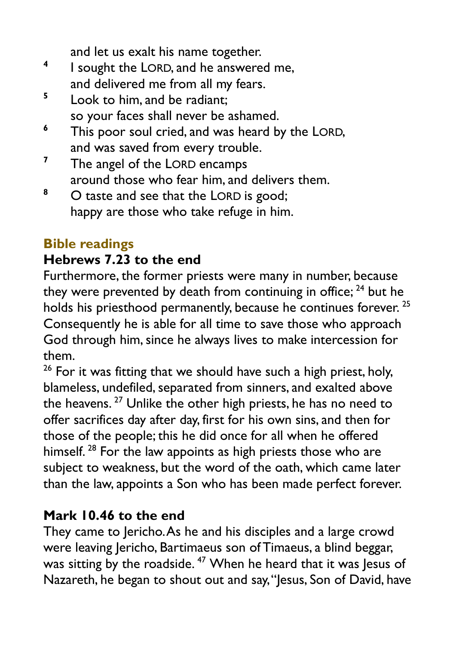and let us exalt his name together.

- **4** I sought the LORD, and he answered me, and delivered me from all my fears.
- **5** Look to him, and be radiant; so your faces shall never be ashamed.
- **<sup>6</sup>** This poor soul cried, and was heard by the LORD, and was saved from every trouble.
- **<sup>7</sup>** The angel of the LORD encamps around those who fear him, and delivers them.
- <sup>8</sup> O taste and see that the LORD is good; happy are those who take refuge in him.

# **Bible readings**

# **Hebrews 7.23 to the end**

Furthermore, the former priests were many in number, because they were prevented by death from continuing in office;  $24$  but he holds his priesthood permanently, because he continues forever.<sup>25</sup> Consequently he is able for all time to save those who approach God through him, since he always lives to make intercession for them.

<sup>26</sup> For it was fitting that we should have such a high priest, holy, blameless, undefiled, separated from sinners, and exalted above the heavens.<sup>27</sup> Unlike the other high priests, he has no need to offer sacrifices day after day, first for his own sins, and then for those of the people; this he did once for all when he offered himself.<sup>28</sup> For the law appoints as high priests those who are subject to weakness, but the word of the oath, which came later than the law, appoints a Son who has been made perfect forever.

# **Mark 10.46 to the end**

They came to Jericho. As he and his disciples and a large crowd were leaving Jericho, Bartimaeus son of Timaeus, a blind beggar, was sitting by the roadside.<sup>47</sup> When he heard that it was Jesus of Nazareth, he began to shout out and say, "Jesus, Son of David, have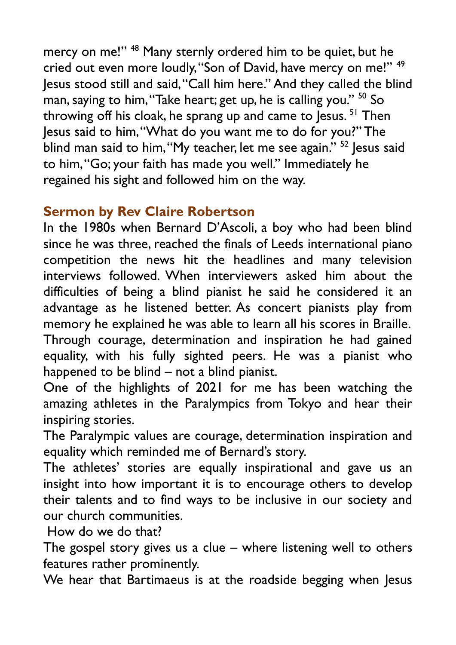mercy on me!" <sup>48</sup> Many sternly ordered him to be quiet, but he cried out even more loudly, "Son of David, have mercy on me!" <sup>49</sup> Jesus stood still and said, "Call him here." And they called the blind man, saying to him, "Take heart; get up, he is calling you." <sup>50</sup> So throwing off his cloak, he sprang up and came to Jesus.<sup>51</sup> Then Jesus said to him, "What do you want me to do for you?" The blind man said to him, "My teacher, let me see again." <sup>52</sup> Jesus said to him, "Go; your faith has made you well." Immediately he regained his sight and followed him on the way.

# **Sermon by Rev Claire Robertson**

In the 1980s when Bernard D'Ascoli, a boy who had been blind since he was three, reached the finals of Leeds international piano competition the news hit the headlines and many television interviews followed. When interviewers asked him about the difficulties of being a blind pianist he said he considered it an advantage as he listened better. As concert pianists play from memory he explained he was able to learn all his scores in Braille. Through courage, determination and inspiration he had gained equality, with his fully sighted peers. He was a pianist who happened to be blind – not a blind pianist.

One of the highlights of 2021 for me has been watching the amazing athletes in the Paralympics from Tokyo and hear their inspiring stories.

The Paralympic values are courage, determination inspiration and equality which reminded me of Bernard's story.

The athletes' stories are equally inspirational and gave us an insight into how important it is to encourage others to develop their talents and to find ways to be inclusive in our society and our church communities.

How do we do that?

The gospel story gives us a clue – where listening well to others features rather prominently.

We hear that Bartimaeus is at the roadside begging when Jesus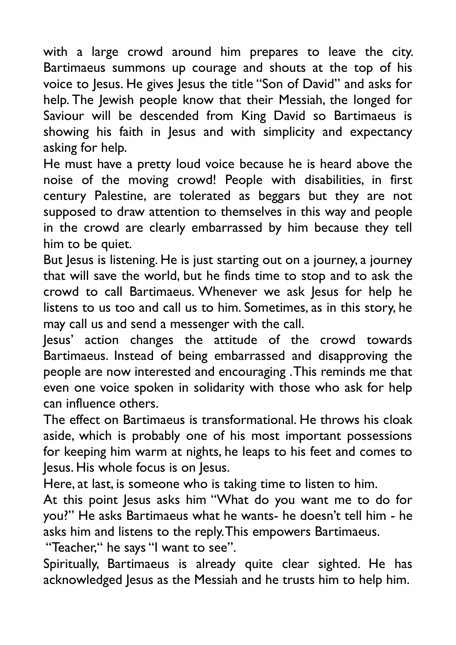with a large crowd around him prepares to leave the city. Bartimaeus summons up courage and shouts at the top of his voice to Jesus. He gives Jesus the title "Son of David" and asks for help. The Jewish people know that their Messiah, the longed for Saviour will be descended from King David so Bartimaeus is showing his faith in Jesus and with simplicity and expectancy asking for help.

He must have a pretty loud voice because he is heard above the noise of the moving crowd! People with disabilities, in first century Palestine, are tolerated as beggars but they are not supposed to draw attention to themselves in this way and people in the crowd are clearly embarrassed by him because they tell him to be quiet.

But Jesus is listening. He is just starting out on a journey, a journey that will save the world, but he finds time to stop and to ask the crowd to call Bartimaeus. Whenever we ask Jesus for help he listens to us too and call us to him. Sometimes, as in this story, he may call us and send a messenger with the call.

Jesus' action changes the attitude of the crowd towards Bartimaeus. Instead of being embarrassed and disapproving the people are now interested and encouraging . This reminds me that even one voice spoken in solidarity with those who ask for help can influence others.

The effect on Bartimaeus is transformational. He throws his cloak aside, which is probably one of his most important possessions for keeping him warm at nights, he leaps to his feet and comes to Jesus. His whole focus is on Jesus.

Here, at last, is someone who is taking time to listen to him.

At this point Jesus asks him "What do you want me to do for you?" He asks Bartimaeus what he wants- he doesn't tell him - he asks him and listens to the reply. This empowers Bartimaeus.

"Teacher," he says "I want to see".

Spiritually, Bartimaeus is already quite clear sighted. He has acknowledged Jesus as the Messiah and he trusts him to help him.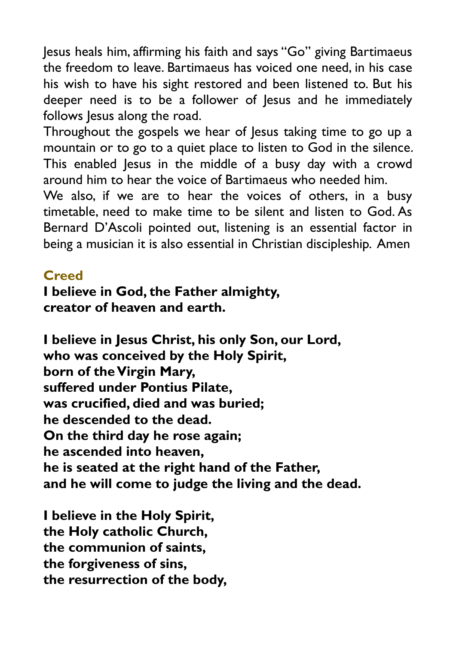Jesus heals him, affirming his faith and says "Go" giving Bartimaeus the freedom to leave. Bartimaeus has voiced one need, in his case his wish to have his sight restored and been listened to. But his deeper need is to be a follower of Jesus and he immediately follows Jesus along the road.

Throughout the gospels we hear of Jesus taking time to go up a mountain or to go to a quiet place to listen to God in the silence. This enabled Jesus in the middle of a busy day with a crowd around him to hear the voice of Bartimaeus who needed him.

We also, if we are to hear the voices of others, in a busy timetable, need to make time to be silent and listen to God. As Bernard D'Ascoli pointed out, listening is an essential factor in being a musician it is also essential in Christian discipleship. Amen

### **Creed**

#### **I believe in God, the Father almighty, creator of heaven and earth.**

**I believe in Jesus Christ, his only Son, our Lord, who was conceived by the Holy Spirit, born of the Virgin Mary, suffered under Pontius Pilate, was crucified, died and was buried; he descended to the dead. On the third day he rose again; he ascended into heaven, he is seated at the right hand of the Father, and he will come to judge the living and the dead.**

**I believe in the Holy Spirit, the Holy catholic Church, the communion of saints, the forgiveness of sins, the resurrection of the body,**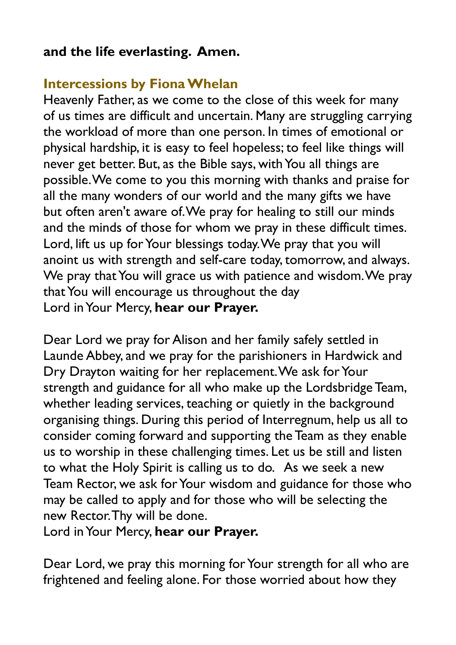## **and the life everlasting. Amen.**

### **Intercessions by Fiona Whelan**

Heavenly Father, as we come to the close of this week for many of us times are difficult and uncertain. Many are struggling carrying the workload of more than one person. In times of emotional or physical hardship, it is easy to feel hopeless; to feel like things will never get better. But, as the Bible says, with You all things are possible. We come to you this morning with thanks and praise for all the many wonders of our world and the many gifts we have but often aren't aware of. We pray for healing to still our minds and the minds of those for whom we pray in these difficult times. Lord, lift us up for Your blessings today. We pray that you will anoint us with strength and self-care today, tomorrow, and always. We pray that You will grace us with patience and wisdom. We pray that You will encourage us throughout the day Lord in Your Mercy, **hear our Prayer.** 

Dear Lord we pray for Alison and her family safely settled in Launde Abbey, and we pray for the parishioners in Hardwick and Dry Drayton waiting for her replacement. We ask for Your strength and guidance for all who make up the Lordsbridge Team, whether leading services, teaching or quietly in the background organising things. During this period of Interregnum, help us all to consider coming forward and supporting the Team as they enable us to worship in these challenging times. Let us be still and listen to what the Holy Spirit is calling us to do. As we seek a new Team Rector, we ask for Your wisdom and guidance for those who may be called to apply and for those who will be selecting the new Rector. Thy will be done.

Lord in Your Mercy, **hear our Prayer.** 

Dear Lord, we pray this morning for Your strength for all who are frightened and feeling alone. For those worried about how they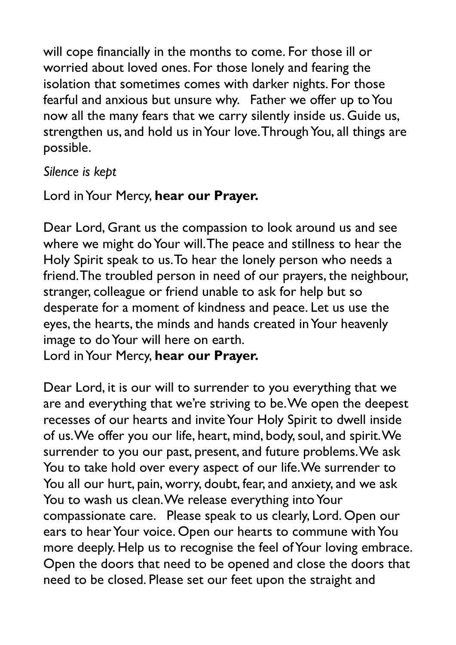will cope financially in the months to come. For those ill or worried about loved ones. For those lonely and fearing the isolation that sometimes comes with darker nights. For those fearful and anxious but unsure why. Father we offer up to You now all the many fears that we carry silently inside us. Guide us, strengthen us, and hold us in Your love. Through You, all things are possible.

#### *Silence is kept*

# Lord in Your Mercy, **hear our Prayer.**

Dear Lord, Grant us the compassion to look around us and see where we might do Your will. The peace and stillness to hear the Holy Spirit speak to us. To hear the lonely person who needs a friend. The troubled person in need of our prayers, the neighbour, stranger, colleague or friend unable to ask for help but so desperate for a moment of kindness and peace. Let us use the eyes, the hearts, the minds and hands created in Your heavenly image to do Your will here on earth.

Lord in Your Mercy, **hear our Prayer.**

Dear Lord, it is our will to surrender to you everything that we are and everything that we're striving to be. We open the deepest recesses of our hearts and invite Your Holy Spirit to dwell inside of us. We offer you our life, heart, mind, body, soul, and spirit. We surrender to you our past, present, and future problems. We ask You to take hold over every aspect of our life. We surrender to You all our hurt, pain, worry, doubt, fear, and anxiety, and we ask You to wash us clean. We release everything into Your compassionate care. Please speak to us clearly, Lord. Open our ears to hear Your voice. Open our hearts to commune with You more deeply. Help us to recognise the feel of Your loving embrace. Open the doors that need to be opened and close the doors that need to be closed. Please set our feet upon the straight and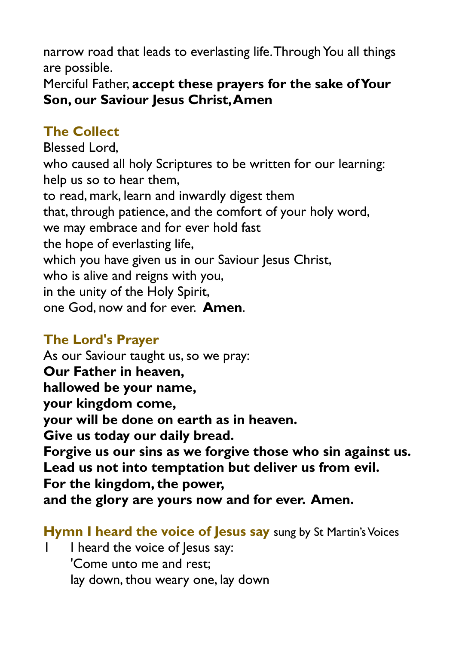narrow road that leads to everlasting life. Through You all things are possible.

Merciful Father, **accept these prayers for the sake of Your Son, our Saviour Jesus Christ, Amen**

# **The Collect**

Blessed Lord, who caused all holy Scriptures to be written for our learning: help us so to hear them, to read, mark, learn and inwardly digest them that, through patience, and the comfort of your holy word, we may embrace and for ever hold fast the hope of everlasting life, which you have given us in our Saviour Jesus Christ, who is alive and reigns with you, in the unity of the Holy Spirit, one God, now and for ever. **Amen**.

## **The Lord's Prayer**

As our Saviour taught us, so we pray: **Our Father in heaven, hallowed be your name, your kingdom come, your will be done on earth as in heaven. Give us today our daily bread. Forgive us our sins as we forgive those who sin against us. Lead us not into temptation but deliver us from evil. For the kingdom, the power, and the glory are yours now and for ever. Amen.**

#### **Hymn I heard the voice of Jesus say** sung by St Martin's Voices

I I heard the voice of lesus say: 'Come unto me and rest; lay down, thou weary one, lay down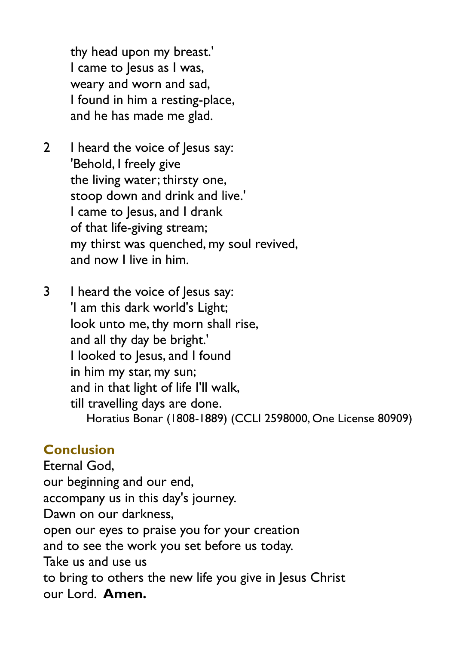thy head upon my breast.' I came to Jesus as I was, weary and worn and sad, I found in him a resting-place, and he has made me glad.

- 2 I heard the voice of Jesus say: 'Behold, I freely give the living water; thirsty one, stoop down and drink and live.' I came to Jesus, and I drank of that life-giving stream; my thirst was quenched, my soul revived, and now I live in him.
- 3 I heard the voice of Jesus say: 'I am this dark world's Light; look unto me, thy morn shall rise, and all thy day be bright.' I looked to Jesus, and I found in him my star, my sun; and in that light of life I'll walk, till travelling days are done. Horatius Bonar (1808-1889) (CCLI 2598000, One License 80909)

### **Conclusion**

Eternal God, our beginning and our end, accompany us in this day's journey. Dawn on our darkness, open our eyes to praise you for your creation and to see the work you set before us today. Take us and use us to bring to others the new life you give in Jesus Christ our Lord. **Amen.**